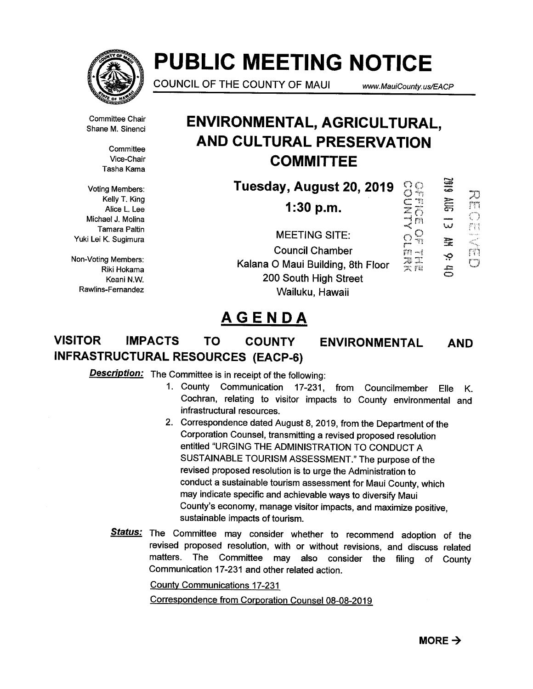

# PUBLIC MEETING NOTICE

COUNCIL OF THE COUNTY OF MAUI www.MauiCounty.us/EACP

 $\hat{\mathcal{O}}$ 

ngy.

'-4J

E

 $\ddot{\mathbf{e}}$ 

SIOZ

 $m \equiv$ 

 $\bar{\varepsilon}$ 

 $\bigcup$ 

ŗñ

IJ

 $TT$  $\mathbb{C}^n$ 

Committee Chair Shane M. Sinenci

> **Committee** Vice-Chair Tasha Kama

Voting Members: Kelly T. King Alice L. Lee Michael J. Molina Tamara Paltin Yuki Lei K. Sugimura

Non-Voting Members: Riki Hokama Keani N.W. Rawlins-Fernandez

## ENVIRONMENTAL, AGRICULTURAL, AND CULTURAL PRESERVATION **COMMITTEE**

Tuesday, August 20, 2019 **DOM**<br>JAMA<br>COMPO

1:30 p.m.

MEETING SITE: Council Chamber<br>O Maui Building, 8th Floor  $\overline{\overline{z}}\overline{\overline{z}}$ Kalana 0 Maui Building, 8th Floor ~ 200 South High Street Wailuku, Hawaii

## AGENDA

### VISITOR IMPACTS TO COUNTY ENVIRONMENTAL INFRASTRUCTURAL RESOURCES (EACP-6) AND

**Description:** The Committee is in receipt of the following:

- 1. County Communication 17-231, from Councilmember Cochran, relating to visitor impacts to County environmental and infrastructural resources. Elle K.
- 2. Correspondence dated August 8, 2019, from the Department of the Corporation Counsel, transmitting a revised proposed resolution entitled "URGING THE ADMINISTRATION TO CONDUCT A SUSTAINABLE TOURISM ASSESSMENT." The purpose of the revised proposed resolution is to urge the Administration to conduct a sustainable tourism assessment for Maui County, which may indicate specific and achievable ways to diversify Maui County's economy, manage visitor impacts, and maximize positive, sustainable impacts of tourism.
- Status: The Committee may consider whether to recommend adoption of the revised proposed resolution, with or without revisions, and discuss related matters. The Committee may also consider the filing of County Communication 17-231 and other related action.

County Communications 17-231

Correspondence from Corporation Counsel 08-08-2019